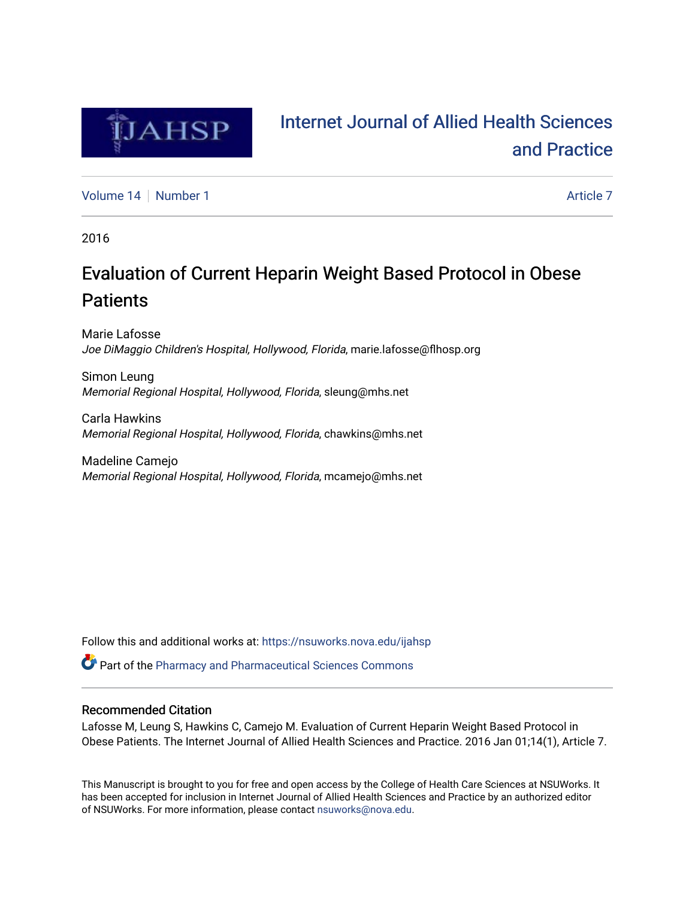

# [Internet Journal of Allied Health Sciences](https://nsuworks.nova.edu/ijahsp)  [and Practice](https://nsuworks.nova.edu/ijahsp)

[Volume 14](https://nsuworks.nova.edu/ijahsp/vol14) [Number 1](https://nsuworks.nova.edu/ijahsp/vol14/iss1) Article 7

2016

# Evaluation of Current Heparin Weight Based Protocol in Obese **Patients**

Marie Lafosse Joe DiMaggio Children's Hospital, Hollywood, Florida, marie.lafosse@flhosp.org

Simon Leung Memorial Regional Hospital, Hollywood, Florida, sleung@mhs.net

Carla Hawkins Memorial Regional Hospital, Hollywood, Florida, chawkins@mhs.net

Madeline Camejo Memorial Regional Hospital, Hollywood, Florida, mcamejo@mhs.net

Follow this and additional works at: [https://nsuworks.nova.edu/ijahsp](https://nsuworks.nova.edu/ijahsp?utm_source=nsuworks.nova.edu%2Fijahsp%2Fvol14%2Fiss1%2F7&utm_medium=PDF&utm_campaign=PDFCoverPages) 

Part of the [Pharmacy and Pharmaceutical Sciences Commons](http://network.bepress.com/hgg/discipline/731?utm_source=nsuworks.nova.edu%2Fijahsp%2Fvol14%2Fiss1%2F7&utm_medium=PDF&utm_campaign=PDFCoverPages)

### Recommended Citation

Lafosse M, Leung S, Hawkins C, Camejo M. Evaluation of Current Heparin Weight Based Protocol in Obese Patients. The Internet Journal of Allied Health Sciences and Practice. 2016 Jan 01;14(1), Article 7.

This Manuscript is brought to you for free and open access by the College of Health Care Sciences at NSUWorks. It has been accepted for inclusion in Internet Journal of Allied Health Sciences and Practice by an authorized editor of NSUWorks. For more information, please contact [nsuworks@nova.edu.](mailto:nsuworks@nova.edu)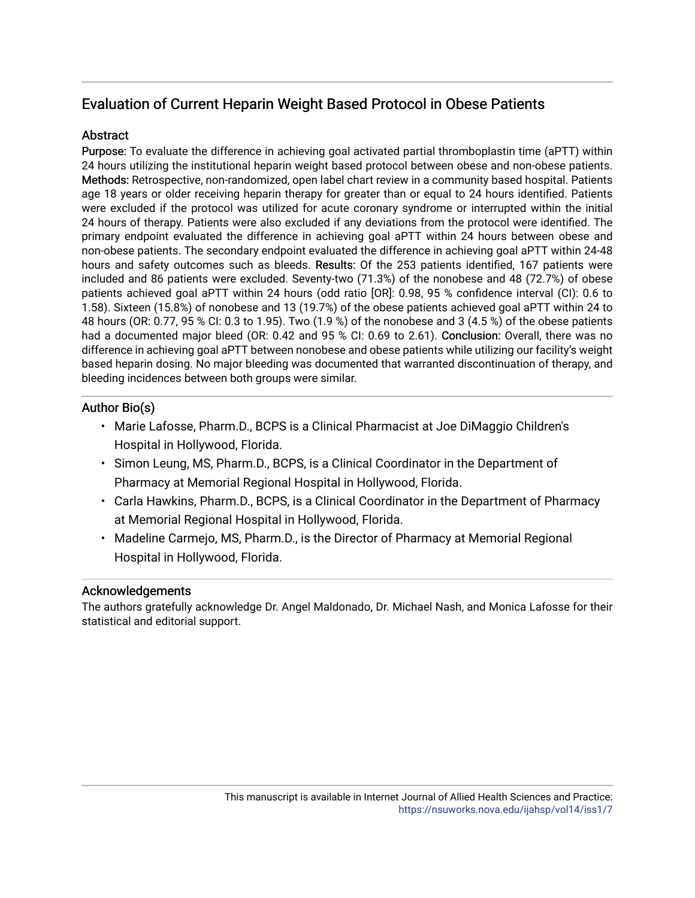# Evaluation of Current Heparin Weight Based Protocol in Obese Patients

## **Abstract**

Purpose: To evaluate the difference in achieving goal activated partial thromboplastin time (aPTT) within 24 hours utilizing the institutional heparin weight based protocol between obese and non-obese patients. Methods: Retrospective, non-randomized, open label chart review in a community based hospital. Patients age 18 years or older receiving heparin therapy for greater than or equal to 24 hours identified. Patients were excluded if the protocol was utilized for acute coronary syndrome or interrupted within the initial 24 hours of therapy. Patients were also excluded if any deviations from the protocol were identified. The primary endpoint evaluated the difference in achieving goal aPTT within 24 hours between obese and non-obese patients. The secondary endpoint evaluated the difference in achieving goal aPTT within 24-48 hours and safety outcomes such as bleeds. Results: Of the 253 patients identified, 167 patients were included and 86 patients were excluded. Seventy-two (71.3%) of the nonobese and 48 (72.7%) of obese patients achieved goal aPTT within 24 hours (odd ratio [OR]: 0.98, 95 % confidence interval (CI): 0.6 to 1.58). Sixteen (15.8%) of nonobese and 13 (19.7%) of the obese patients achieved goal aPTT within 24 to 48 hours (OR: 0.77, 95 % CI: 0.3 to 1.95). Two (1.9 %) of the nonobese and 3 (4.5 %) of the obese patients had a documented major bleed (OR: 0.42 and 95 % CI: 0.69 to 2.61). Conclusion: Overall, there was no difference in achieving goal aPTT between nonobese and obese patients while utilizing our facility's weight based heparin dosing. No major bleeding was documented that warranted discontinuation of therapy, and bleeding incidences between both groups were similar.

## Author Bio(s)

- Marie Lafosse, Pharm.D., BCPS is a Clinical Pharmacist at Joe DiMaggio Children's Hospital in Hollywood, Florida.
- Simon Leung, MS, Pharm.D., BCPS, is a Clinical Coordinator in the Department of Pharmacy at Memorial Regional Hospital in Hollywood, Florida.
- Carla Hawkins, Pharm.D., BCPS, is a Clinical Coordinator in the Department of Pharmacy at Memorial Regional Hospital in Hollywood, Florida.
- Madeline Carmejo, MS, Pharm.D., is the Director of Pharmacy at Memorial Regional Hospital in Hollywood, Florida.

### Acknowledgements

The authors gratefully acknowledge Dr. Angel Maldonado, Dr. Michael Nash, and Monica Lafosse for their statistical and editorial support.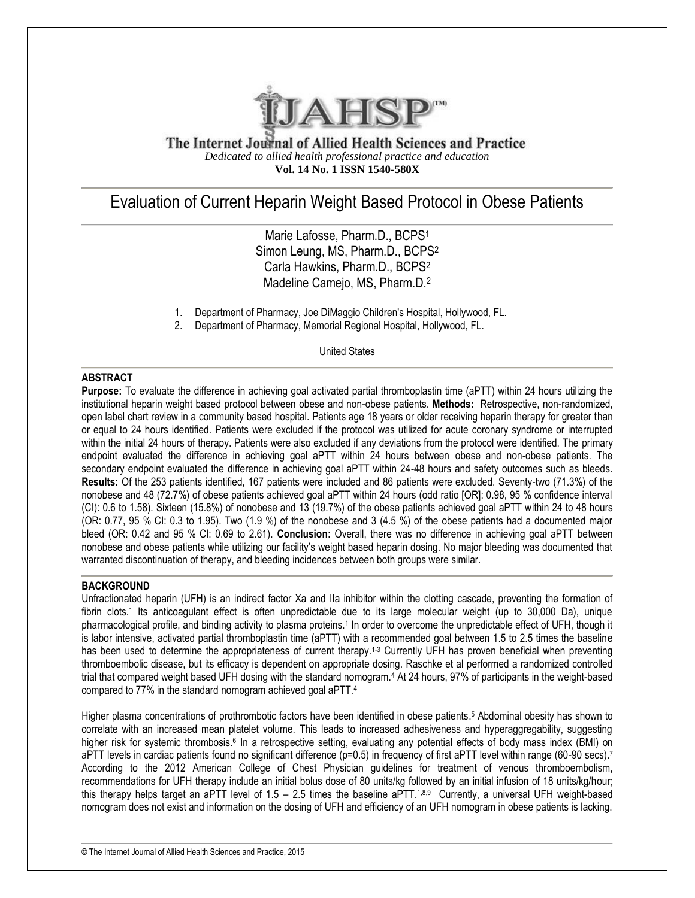

The Internet Journal of Allied Health Sciences and Practice *Dedicated to allied health professional practice and education* **Vol. 14 No. 1 ISSN 1540-580X**

# Evaluation of Current Heparin Weight Based Protocol in Obese Patients

Marie Lafosse, Pharm.D., BCPS<sup>1</sup> Simon Leung, MS, Pharm.D., BCPS<sup>2</sup> Carla Hawkins, Pharm.D., BCPS<sup>2</sup> Madeline Camejo, MS, Pharm.D.<sup>2</sup>

- 1. Department of Pharmacy, Joe DiMaggio Children's Hospital, Hollywood, FL.
- 2. Department of Pharmacy, Memorial Regional Hospital, Hollywood, FL.

United States

#### **ABSTRACT**

**Purpose:** To evaluate the difference in achieving goal activated partial thromboplastin time (aPTT) within 24 hours utilizing the institutional heparin weight based protocol between obese and non-obese patients. **Methods:** Retrospective, non-randomized, open label chart review in a community based hospital. Patients age 18 years or older receiving heparin therapy for greater than or equal to 24 hours identified. Patients were excluded if the protocol was utilized for acute coronary syndrome or interrupted within the initial 24 hours of therapy. Patients were also excluded if any deviations from the protocol were identified. The primary endpoint evaluated the difference in achieving goal aPTT within 24 hours between obese and non-obese patients. The secondary endpoint evaluated the difference in achieving goal aPTT within 24-48 hours and safety outcomes such as bleeds. **Results:** Of the 253 patients identified, 167 patients were included and 86 patients were excluded. Seventy-two (71.3%) of the nonobese and 48 (72.7%) of obese patients achieved goal aPTT within 24 hours (odd ratio [OR]: 0.98, 95 % confidence interval (CI): 0.6 to 1.58). Sixteen (15.8%) of nonobese and 13 (19.7%) of the obese patients achieved goal aPTT within 24 to 48 hours (OR: 0.77, 95 % CI: 0.3 to 1.95). Two (1.9 %) of the nonobese and 3 (4.5 %) of the obese patients had a documented major bleed (OR: 0.42 and 95 % CI: 0.69 to 2.61). **Conclusion:** Overall, there was no difference in achieving goal aPTT between nonobese and obese patients while utilizing our facility's weight based heparin dosing. No major bleeding was documented that warranted discontinuation of therapy, and bleeding incidences between both groups were similar.

#### **BACKGROUND**

Unfractionated heparin (UFH) is an indirect factor Xa and IIa inhibitor within the clotting cascade, preventing the formation of fibrin clots.<sup>1</sup> Its anticoagulant effect is often unpredictable due to its large molecular weight (up to 30,000 Da), unique pharmacological profile, and binding activity to plasma proteins.<sup>1</sup> In order to overcome the unpredictable effect of UFH, though it is labor intensive, activated partial thromboplastin time (aPTT) with a recommended goal between 1.5 to 2.5 times the baseline has been used to determine the appropriateness of current therapy.<sup>1-3</sup> Currently UFH has proven beneficial when preventing thromboembolic disease, but its efficacy is dependent on appropriate dosing. Raschke et al performed a randomized controlled trial that compared weight based UFH dosing with the standard nomogram.<sup>4</sup> At 24 hours, 97% of participants in the weight-based compared to 77% in the standard nomogram achieved goal aPTT.<sup>4</sup>

Higher plasma concentrations of prothrombotic factors have been identified in obese patients. <sup>5</sup> Abdominal obesity has shown to correlate with an increased mean platelet volume. This leads to increased adhesiveness and hyperaggregability, suggesting higher risk for systemic thrombosis.<sup>6</sup> In a retrospective setting, evaluating any potential effects of body mass index (BMI) on aPTT levels in cardiac patients found no significant difference ( $p=0.5$ ) in frequency of first aPTT level within range (60-90 secs).<sup>7</sup> According to the 2012 American College of Chest Physician guidelines for treatment of venous thromboembolism, recommendations for UFH therapy include an initial bolus dose of 80 units/kg followed by an initial infusion of 18 units/kg/hour; this therapy helps target an aPTT level of 1.5 – 2.5 times the baseline aPTT.<sup>1,8,9</sup> Currently, a universal UFH weight-based nomogram does not exist and information on the dosing of UFH and efficiency of an UFH nomogram in obese patients is lacking.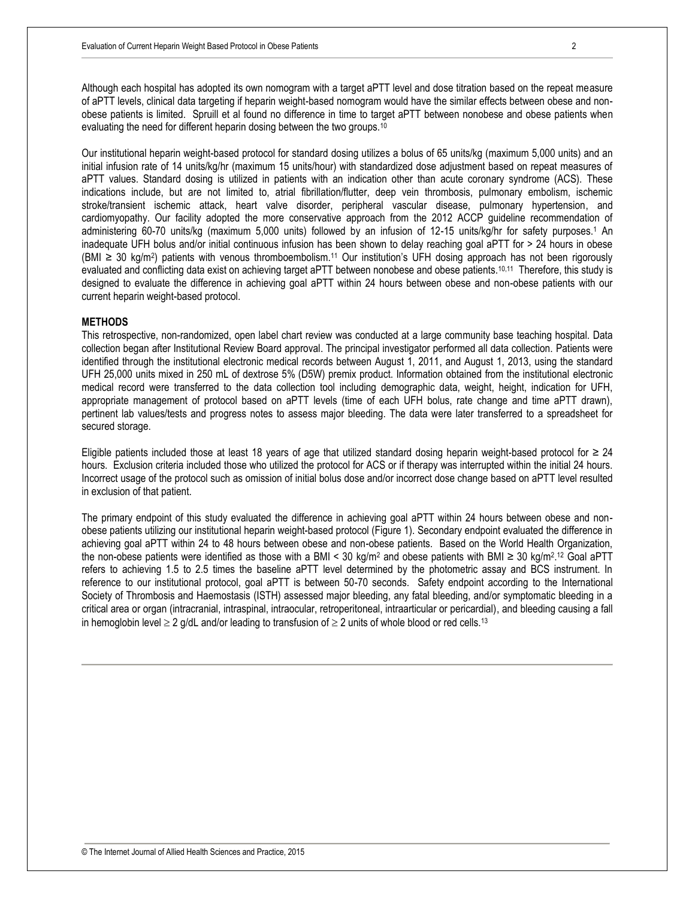Although each hospital has adopted its own nomogram with a target aPTT level and dose titration based on the repeat measure of aPTT levels, clinical data targeting if heparin weight-based nomogram would have the similar effects between obese and nonobese patients is limited. Spruill et al found no difference in time to target aPTT between nonobese and obese patients when evaluating the need for different heparin dosing between the two groups.<sup>10</sup>

Our institutional heparin weight-based protocol for standard dosing utilizes a bolus of 65 units/kg (maximum 5,000 units) and an initial infusion rate of 14 units/kg/hr (maximum 15 units/hour) with standardized dose adjustment based on repeat measures of aPTT values. Standard dosing is utilized in patients with an indication other than acute coronary syndrome (ACS). These indications include, but are not limited to, atrial fibrillation/flutter, deep vein thrombosis, pulmonary embolism, ischemic stroke/transient ischemic attack, heart valve disorder, peripheral vascular disease, pulmonary hypertension, and cardiomyopathy. Our facility adopted the more conservative approach from the 2012 ACCP guideline recommendation of administering 60-70 units/kg (maximum 5,000 units) followed by an infusion of 12-15 units/kg/hr for safety purposes.<sup>1</sup> An inadequate UFH bolus and/or initial continuous infusion has been shown to delay reaching goal aPTT for > 24 hours in obese (BMI ≥ 30 kg/m<sup>2</sup> ) patients with venous thromboembolism.<sup>11</sup> Our institution's UFH dosing approach has not been rigorously evaluated and conflicting data exist on achieving target aPTT between nonobese and obese patients.<sup>10,11</sup> Therefore, this study is designed to evaluate the difference in achieving goal aPTT within 24 hours between obese and non-obese patients with our current heparin weight-based protocol.

#### **METHODS**

This retrospective, non-randomized, open label chart review was conducted at a large community base teaching hospital. Data collection began after Institutional Review Board approval. The principal investigator performed all data collection. Patients were identified through the institutional electronic medical records between August 1, 2011, and August 1, 2013, using the standard UFH 25,000 units mixed in 250 mL of dextrose 5% (D5W) premix product. Information obtained from the institutional electronic medical record were transferred to the data collection tool including demographic data, weight, height, indication for UFH, appropriate management of protocol based on aPTT levels (time of each UFH bolus, rate change and time aPTT drawn), pertinent lab values/tests and progress notes to assess major bleeding. The data were later transferred to a spreadsheet for secured storage.

Eligible patients included those at least 18 years of age that utilized standard dosing heparin weight-based protocol for  $\geq 24$ hours. Exclusion criteria included those who utilized the protocol for ACS or if therapy was interrupted within the initial 24 hours. Incorrect usage of the protocol such as omission of initial bolus dose and/or incorrect dose change based on aPTT level resulted in exclusion of that patient.

The primary endpoint of this study evaluated the difference in achieving goal aPTT within 24 hours between obese and nonobese patients utilizing our institutional heparin weight-based protocol (Figure 1). Secondary endpoint evaluated the difference in achieving goal aPTT within 24 to 48 hours between obese and non-obese patients. Based on the World Health Organization, the non-obese patients were identified as those with a BMI < 30 kg/m<sup>2</sup> and obese patients with BMI ≥ 30 kg/m<sup>2,12</sup> Goal aPTT refers to achieving 1.5 to 2.5 times the baseline aPTT level determined by the photometric assay and BCS instrument. In reference to our institutional protocol, goal aPTT is between 50-70 seconds. Safety endpoint according to the International Society of Thrombosis and Haemostasis (ISTH) assessed major bleeding, any fatal bleeding, and/or symptomatic bleeding in a critical area or organ (intracranial, intraspinal, intraocular, retroperitoneal, intraarticular or pericardial), and bleeding causing a fall in hemoglobin level  $\geq 2$  g/dL and/or leading to transfusion of  $\geq 2$  units of whole blood or red cells.<sup>13</sup>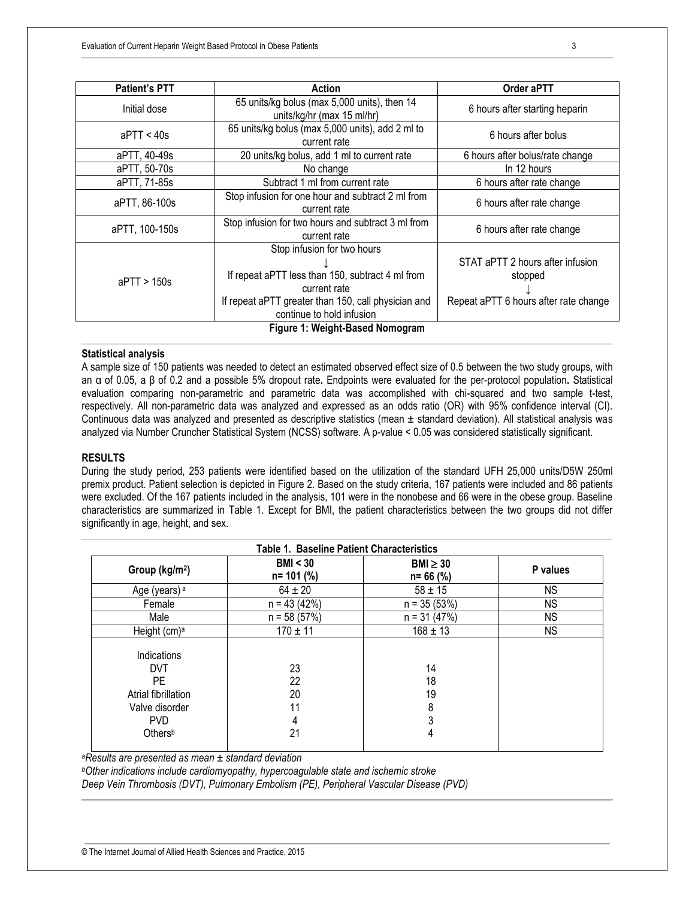| <b>Patient's PTT</b>            | Action                                                                                                                                                                              | Order aPTT                                                                           |  |  |  |
|---------------------------------|-------------------------------------------------------------------------------------------------------------------------------------------------------------------------------------|--------------------------------------------------------------------------------------|--|--|--|
| Initial dose                    | 65 units/kg bolus (max 5,000 units), then 14<br>units/kg/hr (max 15 ml/hr)                                                                                                          | 6 hours after starting heparin                                                       |  |  |  |
| $a$ PTT < 40s                   | 65 units/kg bolus (max 5,000 units), add 2 ml to<br>current rate                                                                                                                    | 6 hours after bolus                                                                  |  |  |  |
| aPTT, 40-49s                    | 20 units/kg bolus, add 1 ml to current rate                                                                                                                                         | 6 hours after bolus/rate change                                                      |  |  |  |
| aPTT, 50-70s                    | No change                                                                                                                                                                           | In 12 hours                                                                          |  |  |  |
| aPTT, 71-85s                    | Subtract 1 ml from current rate                                                                                                                                                     | 6 hours after rate change                                                            |  |  |  |
| aPTT, 86-100s                   | Stop infusion for one hour and subtract 2 ml from<br>current rate                                                                                                                   | 6 hours after rate change                                                            |  |  |  |
| aPTT, 100-150s                  | Stop infusion for two hours and subtract 3 ml from<br>current rate                                                                                                                  | 6 hours after rate change                                                            |  |  |  |
| $a$ PTT > 150s                  | Stop infusion for two hours<br>If repeat aPTT less than 150, subtract 4 ml from<br>current rate<br>If repeat aPTT greater than 150, call physician and<br>continue to hold infusion | STAT aPTT 2 hours after infusion<br>stopped<br>Repeat aPTT 6 hours after rate change |  |  |  |
| Figure 1: Weight-Based Nomogram |                                                                                                                                                                                     |                                                                                      |  |  |  |

#### **Statistical analysis**

A sample size of 150 patients was needed to detect an estimated observed effect size of 0.5 between the two study groups, with an α of 0.05, a β of 0.2 and a possible 5% dropout rate**.** Endpoints were evaluated for the per-protocol population**.** Statistical evaluation comparing non-parametric and parametric data was accomplished with chi-squared and two sample t-test, respectively. All non-parametric data was analyzed and expressed as an odds ratio (OR) with 95% confidence interval (CI). Continuous data was analyzed and presented as descriptive statistics (mean  $\pm$  standard deviation). All statistical analysis was analyzed via Number Cruncher Statistical System (NCSS) software. A p-value < 0.05 was considered statistically significant.

#### **RESULTS**

During the study period, 253 patients were identified based on the utilization of the standard UFH 25,000 units/D5W 250ml premix product. Patient selection is depicted in Figure 2. Based on the study criteria, 167 patients were included and 86 patients were excluded. Of the 167 patients included in the analysis, 101 were in the nonobese and 66 were in the obese group. Baseline characteristics are summarized in Table 1. Except for BMI, the patient characteristics between the two groups did not differ significantly in age, height, and sex.

| <b>Table 1. Baseline Patient Characteristics</b> |                           |                               |           |  |
|--------------------------------------------------|---------------------------|-------------------------------|-----------|--|
| Group (kg/m <sup>2</sup> )                       | BMI < 30<br>$n = 101$ (%) | $BMl \geq 30$<br>$n = 66$ (%) | P values  |  |
| Age (years) <sup>a</sup>                         | $64 \pm 20$               | $58 \pm 15$                   | <b>NS</b> |  |
| Female                                           | $n = 43(42%)$             | $n = 35(53%)$                 | <b>NS</b> |  |
| Male                                             | $n = 58(57%)$             | $n = 31 (47%)$                | <b>NS</b> |  |
| Height (cm) <sup>a</sup>                         | $170 \pm 11$              | $168 \pm 13$                  | <b>NS</b> |  |
| Indications                                      |                           |                               |           |  |
| <b>DVT</b>                                       | 23                        | 14                            |           |  |
| PE.                                              | 22                        | 18                            |           |  |
| Atrial fibrillation                              | 20                        | 19                            |           |  |
| Valve disorder                                   | 11                        | 8                             |           |  |
| <b>PVD</b>                                       | 4                         |                               |           |  |
| Othersb                                          | 21                        | 4                             |           |  |
|                                                  |                           |                               |           |  |

*<sup>a</sup>Results are presented as mean ± standard deviation*

*<sup>b</sup>Other indications include cardiomyopathy, hypercoagulable state and ischemic stroke*

*Deep Vein Thrombosis (DVT), Pulmonary Embolism (PE), Peripheral Vascular Disease (PVD)*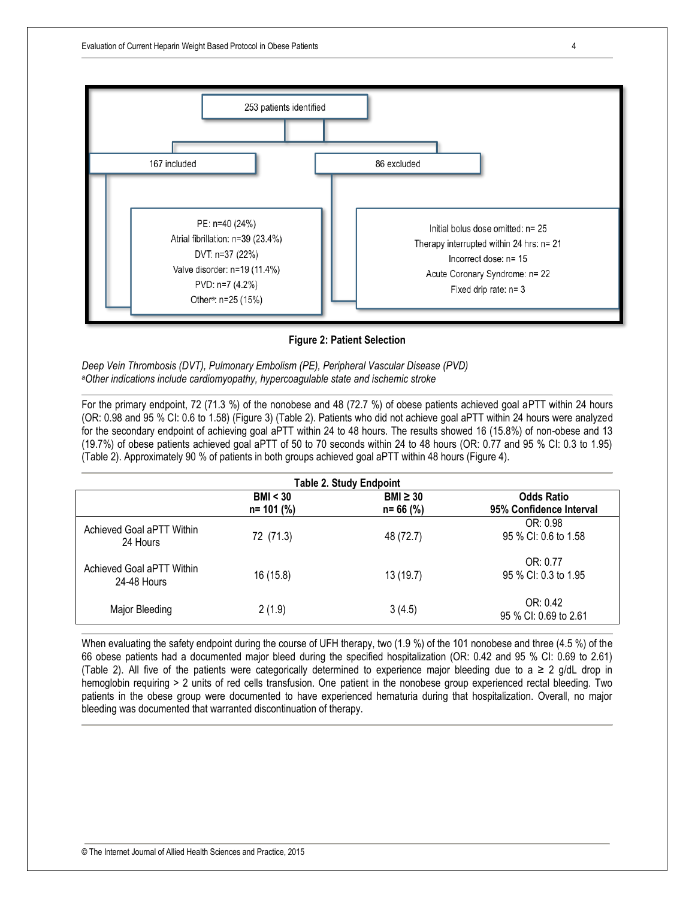

**Figure 2: Patient Selection**

*Deep Vein Thrombosis (DVT), Pulmonary Embolism (PE), Peripheral Vascular Disease (PVD) <sup>a</sup>Other indications include cardiomyopathy, hypercoagulable state and ischemic stroke*

For the primary endpoint, 72 (71.3 %) of the nonobese and 48 (72.7 %) of obese patients achieved goal aPTT within 24 hours (OR: 0.98 and 95 % CI: 0.6 to 1.58) (Figure 3) (Table 2). Patients who did not achieve goal aPTT within 24 hours were analyzed for the secondary endpoint of achieving goal aPTT within 24 to 48 hours. The results showed 16 (15.8%) of non-obese and 13 (19.7%) of obese patients achieved goal aPTT of 50 to 70 seconds within 24 to 48 hours (OR: 0.77 and 95 % CI: 0.3 to 1.95) (Table 2). Approximately 90 % of patients in both groups achieved goal aPTT within 48 hours (Figure 4).

| <b>Table 2. Study Endpoint</b>           |               |               |                                   |  |
|------------------------------------------|---------------|---------------|-----------------------------------|--|
|                                          | BMI < 30      | $BMI \geq 30$ | <b>Odds Ratio</b>                 |  |
|                                          | $n = 101$ (%) | $n = 66$ (%)  | 95% Confidence Interval           |  |
| Achieved Goal aPTT Within<br>24 Hours    | 72 (71.3)     | 48 (72.7)     | OR: 0.98<br>95 % CI: 0.6 to 1.58  |  |
| Achieved Goal aPTT Within<br>24-48 Hours | 16 (15.8)     | 13 (19.7)     | OR: 0.77<br>95 % CI: 0.3 to 1.95  |  |
| Major Bleeding                           | 2(1.9)        | 3(4.5)        | OR: 0.42<br>95 % CI: 0.69 to 2.61 |  |

When evaluating the safety endpoint during the course of UFH therapy, two (1.9 %) of the 101 nonobese and three (4.5 %) of the 66 obese patients had a documented major bleed during the specified hospitalization (OR: 0.42 and 95 % CI: 0.69 to 2.61) (Table 2). All five of the patients were categorically determined to experience major bleeding due to a ≥ 2 g/dL drop in hemoglobin requiring > 2 units of red cells transfusion. One patient in the nonobese group experienced rectal bleeding. Two patients in the obese group were documented to have experienced hematuria during that hospitalization. Overall, no major bleeding was documented that warranted discontinuation of therapy.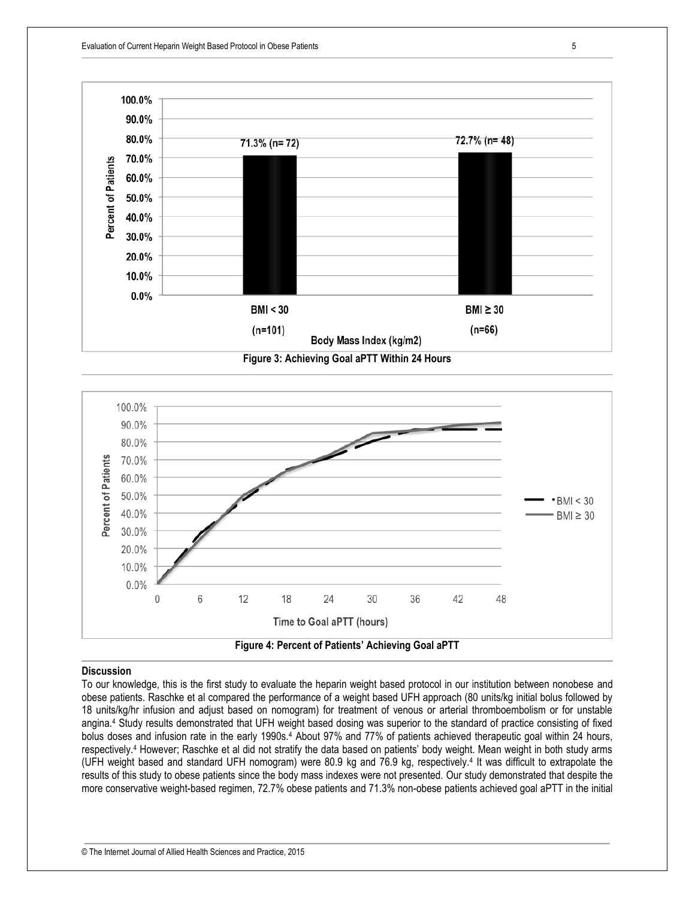



#### **Discussion**

To our knowledge, this is the first study to evaluate the heparin weight based protocol in our institution between nonobese and obese patients. Raschke et al compared the performance of a weight based UFH approach (80 units/kg initial bolus followed by 18 units/kg/hr infusion and adjust based on nomogram) for treatment of venous or arterial thromboembolism or for unstable angina.<sup>4</sup> Study results demonstrated that UFH weight based dosing was superior to the standard of practice consisting of fixed bolus doses and infusion rate in the early 1990s.<sup>4</sup> About 97% and 77% of patients achieved therapeutic goal within 24 hours, respectively.<sup>4</sup> However; Raschke et al did not stratify the data based on patients' body weight. Mean weight in both study arms (UFH weight based and standard UFH nomogram) were 80.9 kg and 76.9 kg, respectively.<sup>4</sup> It was difficult to extrapolate the results of this study to obese patients since the body mass indexes were not presented. Our study demonstrated that despite the more conservative weight-based regimen, 72.7% obese patients and 71.3% non-obese patients achieved goal aPTT in the initial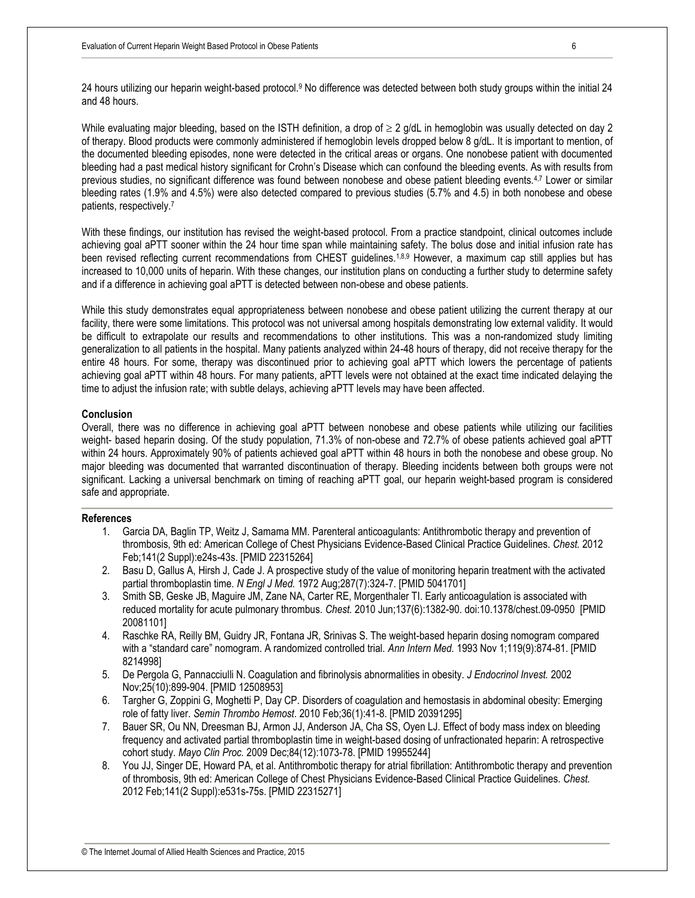24 hours utilizing our heparin weight-based protocol.<sup>9</sup> No difference was detected between both study groups within the initial 24 and 48 hours.

While evaluating major bleeding, based on the ISTH definition, a drop of  $\geq 2$  g/dL in hemoglobin was usually detected on day 2 of therapy. Blood products were commonly administered if hemoglobin levels dropped below 8 g/dL. It is important to mention, of the documented bleeding episodes, none were detected in the critical areas or organs. One nonobese patient with documented bleeding had a past medical history significant for Crohn's Disease which can confound the bleeding events. As with results from previous studies, no significant difference was found between nonobese and obese patient bleeding events.4,7 Lower or similar bleeding rates (1.9% and 4.5%) were also detected compared to previous studies (5.7% and 4.5) in both nonobese and obese patients, respectively.<sup>7</sup>

With these findings, our institution has revised the weight-based protocol. From a practice standpoint, clinical outcomes include achieving goal aPTT sooner within the 24 hour time span while maintaining safety. The bolus dose and initial infusion rate has been revised reflecting current recommendations from CHEST guidelines.<sup>1,8,9</sup> However, a maximum cap still applies but has increased to 10,000 units of heparin. With these changes, our institution plans on conducting a further study to determine safety and if a difference in achieving goal aPTT is detected between non-obese and obese patients.

While this study demonstrates equal appropriateness between nonobese and obese patient utilizing the current therapy at our facility, there were some limitations. This protocol was not universal among hospitals demonstrating low external validity. It would be difficult to extrapolate our results and recommendations to other institutions. This was a non-randomized study limiting generalization to all patients in the hospital. Many patients analyzed within 24-48 hours of therapy, did not receive therapy for the entire 48 hours. For some, therapy was discontinued prior to achieving goal aPTT which lowers the percentage of patients achieving goal aPTT within 48 hours. For many patients, aPTT levels were not obtained at the exact time indicated delaying the time to adjust the infusion rate; with subtle delays, achieving aPTT levels may have been affected.

#### **Conclusion**

Overall, there was no difference in achieving goal aPTT between nonobese and obese patients while utilizing our facilities weight- based heparin dosing. Of the study population, 71.3% of non-obese and 72.7% of obese patients achieved goal aPTT within 24 hours. Approximately 90% of patients achieved goal aPTT within 48 hours in both the nonobese and obese group. No major bleeding was documented that warranted discontinuation of therapy. Bleeding incidents between both groups were not significant. Lacking a universal benchmark on timing of reaching aPTT goal, our heparin weight-based program is considered safe and appropriate.

#### **References**

- 1. Garcia DA, Baglin TP, Weitz J, Samama MM. Parenteral anticoagulants: Antithrombotic therapy and prevention of thrombosis, 9th ed: American College of Chest Physicians Evidence-Based Clinical Practice Guidelines. *Chest.* 2012 Feb;141(2 Suppl):e24s-43s. [PMID 22315264]
- 2. Basu D, Gallus A, Hirsh J, Cade J. A prospective study of the value of monitoring heparin treatment with the activated partial thromboplastin time. *N Engl J Med.* 1972 Aug;287(7):324-7. [PMID 5041701]
- 3. Smith SB, Geske JB, Maguire JM, Zane NA, Carter RE, Morgenthaler TI. Early anticoagulation is associated with reduced mortality for acute pulmonary thrombus. *Chest.* 2010 Jun;137(6):1382-90. doi:10.1378/chest.09-0950 [PMID 20081101]
- 4. Raschke RA, Reilly BM, Guidry JR, Fontana JR, Srinivas S. The weight-based heparin dosing nomogram compared with a "standard care" nomogram. A randomized controlled trial. *Ann Intern Med.* 1993 Nov 1;119(9):874-81. [PMID 8214998]
- 5. De Pergola G, Pannacciulli N. Coagulation and fibrinolysis abnormalities in obesity. *J Endocrinol Invest.* 2002 Nov;25(10):899-904. [PMID 12508953]
- 6. Targher G, Zoppini G, Moghetti P, Day CP. Disorders of coagulation and hemostasis in abdominal obesity: Emerging role of fatty liver. *Semin Thrombo Hemost*. 2010 Feb;36(1):41-8. [PMID 20391295]
- 7. Bauer SR, Ou NN, Dreesman BJ, Armon JJ, Anderson JA, Cha SS, Oyen LJ. Effect of body mass index on bleeding frequency and activated partial thromboplastin time in weight-based dosing of unfractionated heparin: A retrospective cohort study. *Mayo Clin Proc.* 2009 Dec;84(12):1073-78. [PMID 19955244]
- 8. You JJ, Singer DE, Howard PA, et al. Antithrombotic therapy for atrial fibrillation: Antithrombotic therapy and prevention of thrombosis, 9th ed: American College of Chest Physicians Evidence-Based Clinical Practice Guidelines. *Chest.* 2012 Feb;141(2 Suppl):e531s-75s. [PMID 22315271]